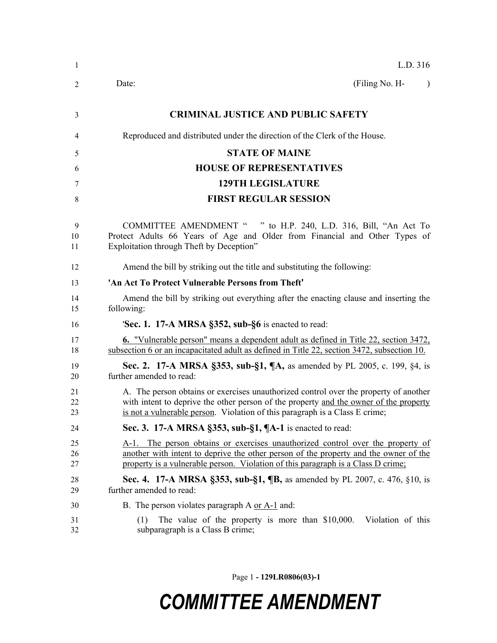| -1             | L.D. 316                                                                                                                                                                                                                                                     |  |  |  |
|----------------|--------------------------------------------------------------------------------------------------------------------------------------------------------------------------------------------------------------------------------------------------------------|--|--|--|
| 2              | (Filing No. H-<br>Date:<br>$\lambda$                                                                                                                                                                                                                         |  |  |  |
| 3              | <b>CRIMINAL JUSTICE AND PUBLIC SAFETY</b>                                                                                                                                                                                                                    |  |  |  |
| 4              | Reproduced and distributed under the direction of the Clerk of the House.                                                                                                                                                                                    |  |  |  |
| 5              | <b>STATE OF MAINE</b>                                                                                                                                                                                                                                        |  |  |  |
| 6              | <b>HOUSE OF REPRESENTATIVES</b>                                                                                                                                                                                                                              |  |  |  |
| 7              | <b>129TH LEGISLATURE</b>                                                                                                                                                                                                                                     |  |  |  |
| 8              | <b>FIRST REGULAR SESSION</b>                                                                                                                                                                                                                                 |  |  |  |
| 9<br>10<br>11  | COMMITTEE AMENDMENT " " to H.P. 240, L.D. 316, Bill, "An Act To<br>Protect Adults 66 Years of Age and Older from Financial and Other Types of<br>Exploitation through Theft by Deception"                                                                    |  |  |  |
| 12             | Amend the bill by striking out the title and substituting the following:                                                                                                                                                                                     |  |  |  |
| 13             | 'An Act To Protect Vulnerable Persons from Theft'                                                                                                                                                                                                            |  |  |  |
| 14<br>15       | Amend the bill by striking out everything after the enacting clause and inserting the<br>following:                                                                                                                                                          |  |  |  |
| 16             | 'Sec. 1. 17-A MRSA §352, sub-§6 is enacted to read:                                                                                                                                                                                                          |  |  |  |
| 17<br>18       | <b>6.</b> "Vulnerable person" means a dependent adult as defined in Title 22, section 3472,<br>subsection 6 or an incapacitated adult as defined in Title 22, section 3472, subsection 10.                                                                   |  |  |  |
| 19<br>20       | Sec. 2. 17-A MRSA §353, sub-§1, ¶A, as amended by PL 2005, c. 199, §4, is<br>further amended to read:                                                                                                                                                        |  |  |  |
| 21<br>22<br>23 | A. The person obtains or exercises unauthorized control over the property of another<br>with intent to deprive the other person of the property and the owner of the property<br>is not a vulnerable person. Violation of this paragraph is a Class E crime; |  |  |  |
| 24             | Sec. 3. 17-A MRSA $\S$ 353, sub- $\S$ 1, $\P$ A-1 is enacted to read:                                                                                                                                                                                        |  |  |  |
| 25<br>26<br>27 | A-1. The person obtains or exercises unauthorized control over the property of<br>another with intent to deprive the other person of the property and the owner of the<br>property is a vulnerable person. Violation of this paragraph is a Class D crime;   |  |  |  |
| 28<br>29       | <b>Sec. 4.</b> 17-A MRSA §353, sub-§1, <b>[B</b> , as amended by PL 2007, c. 476, §10, is<br>further amended to read:                                                                                                                                        |  |  |  |
| 30             | B. The person violates paragraph A or A-1 and:                                                                                                                                                                                                               |  |  |  |
| 31<br>32       | Violation of this<br>The value of the property is more than \$10,000.<br>(1)<br>subparagraph is a Class B crime;                                                                                                                                             |  |  |  |

Page 1 **- 129LR0806(03)-1**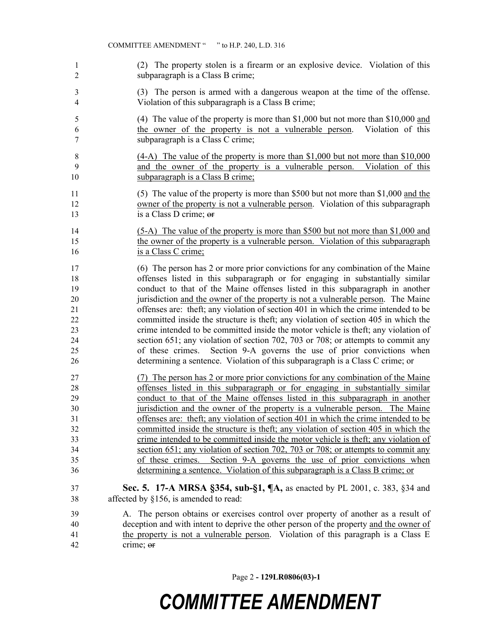- (2) The property stolen is a firearm or an explosive device. Violation of this subparagraph is a Class B crime;
- (3) The person is armed with a dangerous weapon at the time of the offense. Violation of this subparagraph is a Class B crime;
- (4) The value of the property is more than \$1,000 but not more than \$10,000 and the owner of the property is not a vulnerable person. Violation of this subparagraph is a Class C crime;
- (4-A) The value of the property is more than \$1,000 but not more than \$10,000 and the owner of the property is a vulnerable person. Violation of this 10 subparagraph is a Class B crime;
- (5) The value of the property is more than \$500 but not more than \$1,000 and the owner of the property is not a vulnerable person. Violation of this subparagraph 13 is a Class D crime; or
- (5-A) The value of the property is more than \$500 but not more than \$1,000 and the owner of the property is a vulnerable person. Violation of this subparagraph 16 is a Class C crime;
- (6) The person has 2 or more prior convictions for any combination of the Maine offenses listed in this subparagraph or for engaging in substantially similar conduct to that of the Maine offenses listed in this subparagraph in another jurisdiction and the owner of the property is not a vulnerable person. The Maine offenses are: theft; any violation of section 401 in which the crime intended to be committed inside the structure is theft; any violation of section 405 in which the crime intended to be committed inside the motor vehicle is theft; any violation of section 651; any violation of section 702, 703 or 708; or attempts to commit any of these crimes. Section 9-A governs the use of prior convictions when determining a sentence. Violation of this subparagraph is a Class C crime; or
- (7) The person has 2 or more prior convictions for any combination of the Maine offenses listed in this subparagraph or for engaging in substantially similar conduct to that of the Maine offenses listed in this subparagraph in another jurisdiction and the owner of the property is a vulnerable person. The Maine offenses are: theft; any violation of section 401 in which the crime intended to be committed inside the structure is theft; any violation of section 405 in which the crime intended to be committed inside the motor vehicle is theft; any violation of section 651; any violation of section 702, 703 or 708; or attempts to commit any of these crimes. Section 9-A governs the use of prior convictions when determining a sentence. Violation of this subparagraph is a Class B crime; or
- **Sec. 5. 17-A MRSA §354, sub-§1, ¶A,** as enacted by PL 2001, c. 383, §34 and affected by §156, is amended to read:
- A. The person obtains or exercises control over property of another as a result of deception and with intent to deprive the other person of the property and the owner of the property is not a vulnerable person. Violation of this paragraph is a Class E crime; or

Page 2 **- 129LR0806(03)-1**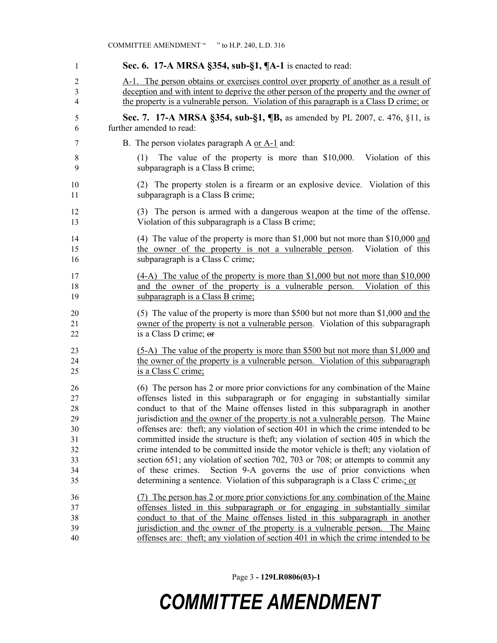| -1                  | Sec. 6. 17-A MRSA §354, sub-§1, ¶A-1 is enacted to read:                                                                                                                          |  |  |  |
|---------------------|-----------------------------------------------------------------------------------------------------------------------------------------------------------------------------------|--|--|--|
|                     |                                                                                                                                                                                   |  |  |  |
| $\overline{2}$<br>3 | A-1. The person obtains or exercises control over property of another as a result of                                                                                              |  |  |  |
| 4                   | deception and with intent to deprive the other person of the property and the owner of<br>the property is a vulnerable person. Violation of this paragraph is a Class D crime; or |  |  |  |
|                     |                                                                                                                                                                                   |  |  |  |
| 5                   | Sec. 7. 17-A MRSA §354, sub-§1, ¶B, as amended by PL 2007, c. 476, §11, is                                                                                                        |  |  |  |
| 6                   | further amended to read:                                                                                                                                                          |  |  |  |
| 7                   | B. The person violates paragraph A or A-1 and:                                                                                                                                    |  |  |  |
| 8<br>9              | Violation of this<br>The value of the property is more than \$10,000.<br>(1)<br>subparagraph is a Class B crime;                                                                  |  |  |  |
| 10<br>11            | (2) The property stolen is a firearm or an explosive device. Violation of this<br>subparagraph is a Class B crime;                                                                |  |  |  |
| 12<br>13            | (3) The person is armed with a dangerous weapon at the time of the offense.<br>Violation of this subparagraph is a Class B crime;                                                 |  |  |  |
| 14                  | (4) The value of the property is more than \$1,000 but not more than \$10,000 and                                                                                                 |  |  |  |
| 15                  | the owner of the property is not a vulnerable person.<br>Violation of this                                                                                                        |  |  |  |
| 16                  | subparagraph is a Class C crime;                                                                                                                                                  |  |  |  |
| 17                  | $(4-A)$ The value of the property is more than \$1,000 but not more than \$10,000                                                                                                 |  |  |  |
| 18                  | and the owner of the property is a vulnerable person. Violation of this                                                                                                           |  |  |  |
| 19                  | subparagraph is a Class B crime;                                                                                                                                                  |  |  |  |
| 20                  | (5) The value of the property is more than \$500 but not more than $$1,000$ and the                                                                                               |  |  |  |
| 21                  | owner of the property is not a vulnerable person. Violation of this subparagraph                                                                                                  |  |  |  |
| 22                  | is a Class D crime; or                                                                                                                                                            |  |  |  |
| 23                  | (5-A) The value of the property is more than \$500 but not more than \$1,000 and                                                                                                  |  |  |  |
| 24                  | the owner of the property is a vulnerable person. Violation of this subparagraph                                                                                                  |  |  |  |
| 25                  | is a Class C crime;                                                                                                                                                               |  |  |  |
| 26                  | (6) The person has 2 or more prior convictions for any combination of the Maine                                                                                                   |  |  |  |
| 27                  | offenses listed in this subparagraph or for engaging in substantially similar                                                                                                     |  |  |  |
| 28                  | conduct to that of the Maine offenses listed in this subparagraph in another                                                                                                      |  |  |  |
| 29                  | jurisdiction and the owner of the property is not a vulnerable person. The Maine                                                                                                  |  |  |  |
| 30                  | offenses are: theft; any violation of section 401 in which the crime intended to be                                                                                               |  |  |  |
| 31                  | committed inside the structure is theft; any violation of section 405 in which the                                                                                                |  |  |  |
| 32                  | crime intended to be committed inside the motor vehicle is theft; any violation of                                                                                                |  |  |  |
| 33                  | section 651; any violation of section 702, 703 or 708; or attempts to commit any<br>of these crimes.                                                                              |  |  |  |
| 34<br>35            | Section 9-A governs the use of prior convictions when<br>determining a sentence. Violation of this subparagraph is a Class C crime-; or                                           |  |  |  |
| 36                  | (7) The person has 2 or more prior convictions for any combination of the Maine                                                                                                   |  |  |  |
| 37                  | offenses listed in this subparagraph or for engaging in substantially similar                                                                                                     |  |  |  |
| 38                  | conduct to that of the Maine offenses listed in this subparagraph in another                                                                                                      |  |  |  |
| 39                  | jurisdiction and the owner of the property is a vulnerable person. The Maine                                                                                                      |  |  |  |
| 40                  | offenses are: theft; any violation of section 401 in which the crime intended to be                                                                                               |  |  |  |

COMMITTEE AMENDMENT " " to H.P. 240, L.D. 316

Page 3 **- 129LR0806(03)-1**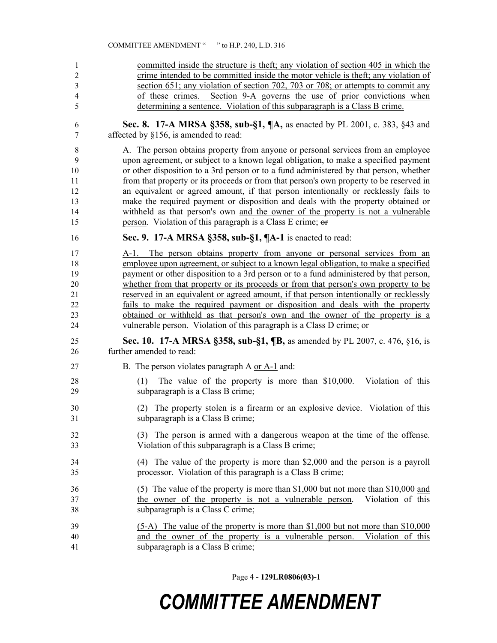committed inside the structure is theft; any violation of section 405 in which the crime intended to be committed inside the motor vehicle is theft; any violation of section 651; any violation of section 702, 703 or 708; or attempts to commit any of these crimes. Section 9-A governs the use of prior convictions when determining a sentence. Violation of this subparagraph is a Class B crime. **Sec. 8. 17-A MRSA §358, sub-§1, ¶A,** as enacted by PL 2001, c. 383, §43 and affected by §156, is amended to read: A. The person obtains property from anyone or personal services from an employee upon agreement, or subject to a known legal obligation, to make a specified payment or other disposition to a 3rd person or to a fund administered by that person, whether from that property or its proceeds or from that person's own property to be reserved in an equivalent or agreed amount, if that person intentionally or recklessly fails to make the required payment or disposition and deals with the property obtained or withheld as that person's own and the owner of the property is not a vulnerable person. Violation of this paragraph is a Class E crime; or **Sec. 9. 17-A MRSA §358, sub-§1, ¶A-1** is enacted to read: A-1. The person obtains property from anyone or personal services from an employee upon agreement, or subject to a known legal obligation, to make a specified payment or other disposition to a 3rd person or to a fund administered by that person, whether from that property or its proceeds or from that person's own property to be reserved in an equivalent or agreed amount, if that person intentionally or recklessly fails to make the required payment or disposition and deals with the property obtained or withheld as that person's own and the owner of the property is a vulnerable person. Violation of this paragraph is a Class D crime; or **Sec. 10. 17-A MRSA §358, sub-§1, ¶B,** as amended by PL 2007, c. 476, §16, is further amended to read: B. The person violates paragraph A or A-1 and: (1) The value of the property is more than \$10,000. Violation of this subparagraph is a Class B crime; (2) The property stolen is a firearm or an explosive device. Violation of this subparagraph is a Class B crime; (3) The person is armed with a dangerous weapon at the time of the offense. Violation of this subparagraph is a Class B crime; (4) The value of the property is more than \$2,000 and the person is a payroll processor. Violation of this paragraph is a Class B crime; (5) The value of the property is more than \$1,000 but not more than \$10,000 and the owner of the property is not a vulnerable person. Violation of this subparagraph is a Class C crime; (5-A) The value of the property is more than \$1,000 but not more than \$10,000 and the owner of the property is a vulnerable person. Violation of this subparagraph is a Class B crime;

COMMITTEE AMENDMENT " " to H.P. 240, L.D. 316

Page 4 **- 129LR0806(03)-1**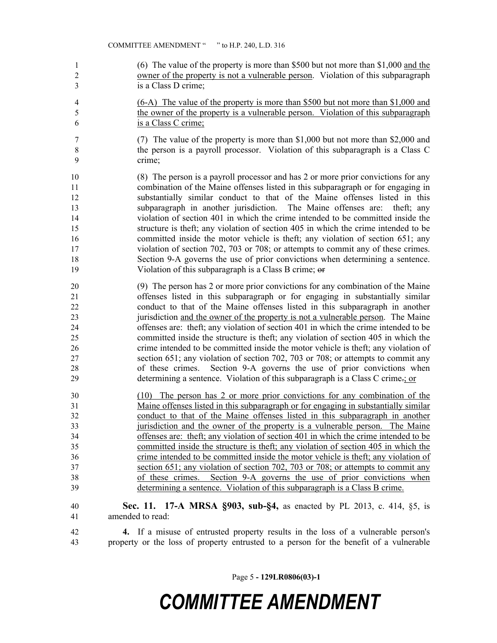- (6) The value of the property is more than \$500 but not more than \$1,000 and the owner of the property is not a vulnerable person. Violation of this subparagraph is a Class D crime;
- (6-A) The value of the property is more than \$500 but not more than \$1,000 and the owner of the property is a vulnerable person. Violation of this subparagraph is a Class C crime;
- (7) The value of the property is more than \$1,000 but not more than \$2,000 and the person is a payroll processor. Violation of this subparagraph is a Class C crime;
- (8) The person is a payroll processor and has 2 or more prior convictions for any combination of the Maine offenses listed in this subparagraph or for engaging in substantially similar conduct to that of the Maine offenses listed in this subparagraph in another jurisdiction. The Maine offenses are: theft; any violation of section 401 in which the crime intended to be committed inside the structure is theft; any violation of section 405 in which the crime intended to be committed inside the motor vehicle is theft; any violation of section 651; any violation of section 702, 703 or 708; or attempts to commit any of these crimes. Section 9-A governs the use of prior convictions when determining a sentence. Violation of this subparagraph is a Class B crime; or
- (9) The person has 2 or more prior convictions for any combination of the Maine offenses listed in this subparagraph or for engaging in substantially similar conduct to that of the Maine offenses listed in this subparagraph in another jurisdiction and the owner of the property is not a vulnerable person. The Maine offenses are: theft; any violation of section 401 in which the crime intended to be committed inside the structure is theft; any violation of section 405 in which the crime intended to be committed inside the motor vehicle is theft; any violation of section 651; any violation of section 702, 703 or 708; or attempts to commit any of these crimes. Section 9-A governs the use of prior convictions when determining a sentence. Violation of this subparagraph is a Class C crime.; or
- (10) The person has 2 or more prior convictions for any combination of the Maine offenses listed in this subparagraph or for engaging in substantially similar conduct to that of the Maine offenses listed in this subparagraph in another jurisdiction and the owner of the property is a vulnerable person. The Maine offenses are: theft; any violation of section 401 in which the crime intended to be committed inside the structure is theft; any violation of section 405 in which the crime intended to be committed inside the motor vehicle is theft; any violation of section 651; any violation of section 702, 703 or 708; or attempts to commit any of these crimes. Section 9-A governs the use of prior convictions when determining a sentence. Violation of this subparagraph is a Class B crime.
- **Sec. 11. 17-A MRSA §903, sub-§4,** as enacted by PL 2013, c. 414, §5, is amended to read:
- **4.** If a misuse of entrusted property results in the loss of a vulnerable person's property or the loss of property entrusted to a person for the benefit of a vulnerable

Page 5 **- 129LR0806(03)-1**